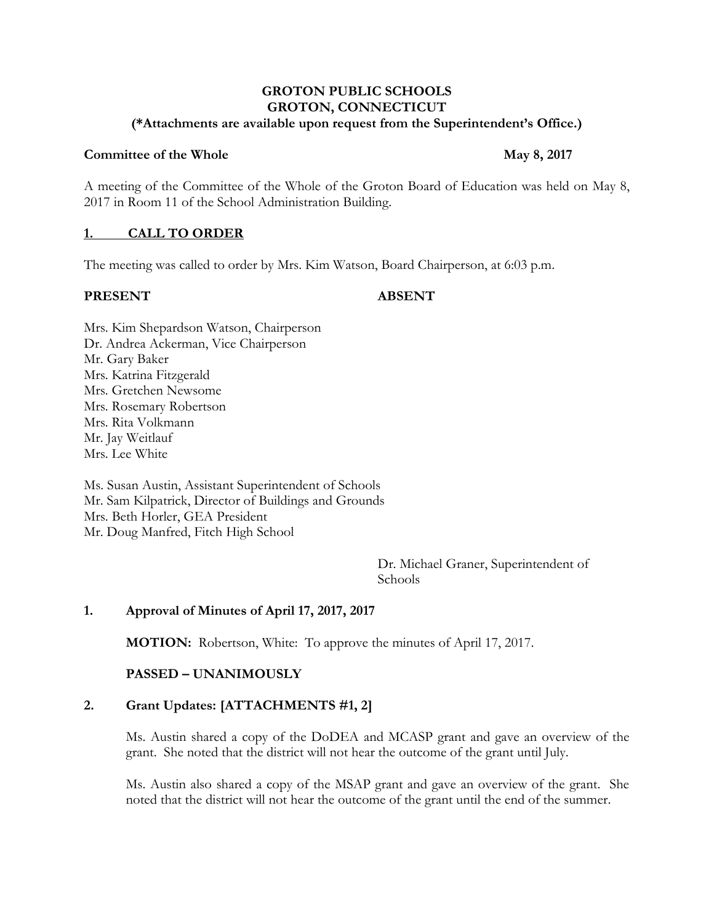### **GROTON PUBLIC SCHOOLS GROTON, CONNECTICUT (\*Attachments are available upon request from the Superintendent's Office.)**

#### **Committee of the Whole May** 8, 2017

A meeting of the Committee of the Whole of the Groton Board of Education was held on May 8, 2017 in Room 11 of the School Administration Building.

# **1. CALL TO ORDER**

The meeting was called to order by Mrs. Kim Watson, Board Chairperson, at 6:03 p.m.

#### **PRESENT ABSENT**

Mrs. Kim Shepardson Watson, Chairperson Dr. Andrea Ackerman, Vice Chairperson Mr. Gary Baker Mrs. Katrina Fitzgerald Mrs. Gretchen Newsome Mrs. Rosemary Robertson Mrs. Rita Volkmann Mr. Jay Weitlauf Mrs. Lee White

Ms. Susan Austin, Assistant Superintendent of Schools Mr. Sam Kilpatrick, Director of Buildings and Grounds Mrs. Beth Horler, GEA President Mr. Doug Manfred, Fitch High School

> Dr. Michael Graner, Superintendent of Schools

# **1. Approval of Minutes of April 17, 2017, 2017**

**MOTION:** Robertson, White: To approve the minutes of April 17, 2017.

# **PASSED – UNANIMOUSLY**

# **2. Grant Updates: [ATTACHMENTS #1, 2]**

Ms. Austin shared a copy of the DoDEA and MCASP grant and gave an overview of the grant. She noted that the district will not hear the outcome of the grant until July.

Ms. Austin also shared a copy of the MSAP grant and gave an overview of the grant. She noted that the district will not hear the outcome of the grant until the end of the summer.